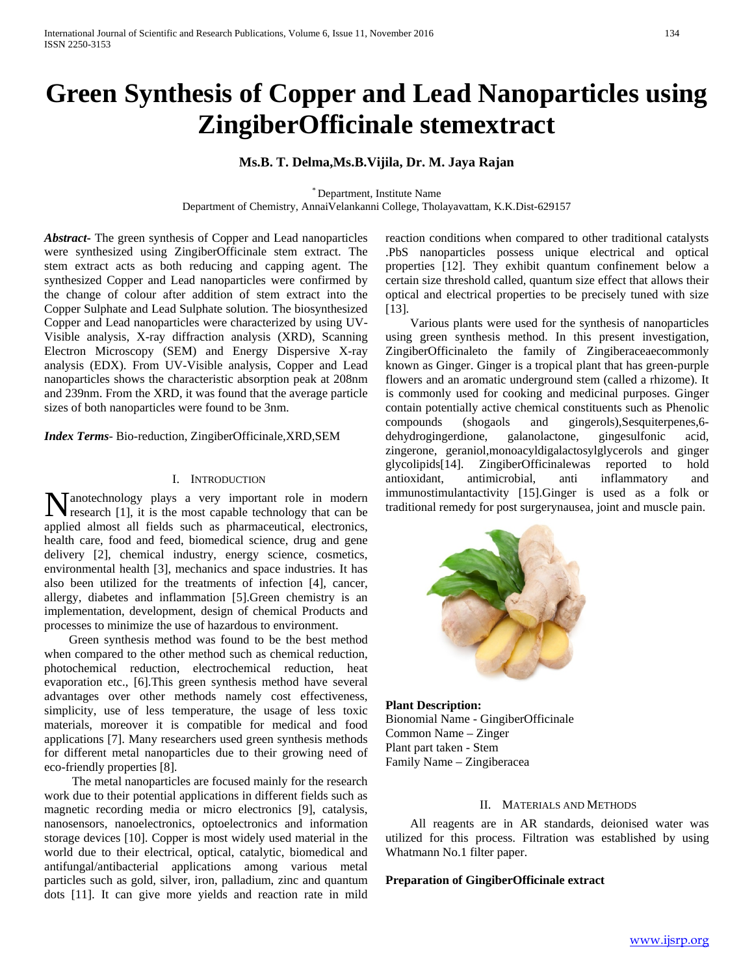# **Green Synthesis of Copper and Lead Nanoparticles using ZingiberOfficinale stemextract**

# **Ms.B. T. Delma,Ms.B.Vijila, Dr. M. Jaya Rajan**

\* Department, Institute Name

Department of Chemistry, AnnaiVelankanni College, Tholayavattam, K.K.Dist-629157

*Abstract***-** The green synthesis of Copper and Lead nanoparticles were synthesized using ZingiberOfficinale stem extract. The stem extract acts as both reducing and capping agent. The synthesized Copper and Lead nanoparticles were confirmed by the change of colour after addition of stem extract into the Copper Sulphate and Lead Sulphate solution. The biosynthesized Copper and Lead nanoparticles were characterized by using UV-Visible analysis, X-ray diffraction analysis (XRD), Scanning Electron Microscopy (SEM) and Energy Dispersive X-ray analysis (EDX). From UV-Visible analysis, Copper and Lead nanoparticles shows the characteristic absorption peak at 208nm and 239nm. From the XRD, it was found that the average particle sizes of both nanoparticles were found to be 3nm.

*Index Terms*- Bio-reduction, ZingiberOfficinale,XRD,SEM

#### I. INTRODUCTION

anotechnology plays a very important role in modern Manotechnology plays a very important role in modern<br>research [1], it is the most capable technology that can be applied almost all fields such as pharmaceutical, electronics, health care, food and feed, biomedical science, drug and gene delivery [2], chemical industry, energy science, cosmetics, environmental health [3], mechanics and space industries. It has also been utilized for the treatments of infection [4], cancer, allergy, diabetes and inflammation [5].Green chemistry is an implementation, development, design of chemical Products and processes to minimize the use of hazardous to environment.

 Green synthesis method was found to be the best method when compared to the other method such as chemical reduction, photochemical reduction, electrochemical reduction, heat evaporation etc., [6].This green synthesis method have several advantages over other methods namely cost effectiveness, simplicity, use of less temperature, the usage of less toxic materials, moreover it is compatible for medical and food applications [7]. Many researchers used green synthesis methods for different metal nanoparticles due to their growing need of eco-friendly properties [8].

 The metal nanoparticles are focused mainly for the research work due to their potential applications in different fields such as magnetic recording media or micro electronics [9], catalysis, nanosensors, nanoelectronics, optoelectronics and information storage devices [10]. Copper is most widely used material in the world due to their electrical, optical, catalytic, biomedical and antifungal/antibacterial applications among various metal particles such as gold, silver, iron, palladium, zinc and quantum dots [11]. It can give more yields and reaction rate in mild

reaction conditions when compared to other traditional catalysts .PbS nanoparticles possess unique electrical and optical properties [12]. They exhibit quantum confinement below a certain size threshold called, quantum size effect that allows their optical and electrical properties to be precisely tuned with size [13].

 Various plants were used for the synthesis of nanoparticles using green synthesis method. In this present investigation, ZingiberOfficinaleto the family of Zingiberaceaecommonly known as Ginger. Ginger is a tropical plant that has green-purple flowers and an aromatic underground stem (called a rhizome). It is commonly used for cooking and medicinal purposes. Ginger contain potentially active chemical constituents such as Phenolic compounds (shogaols and gingerols),Sesquiterpenes,6-<br>dehydrogingerdione, galanolactone, gingesulfonic acid. dehydrogingerdione, galanolactone, gingesulfonic acid, zingerone, geraniol,monoacyldigalactosylglycerols and ginger glycolipids[14]. ZingiberOfficinalewas reported to hold antioxidant, antimicrobial, anti inflammatory and immunostimulantactivity [15].Ginger is used as a folk or traditional remedy for post surgerynausea, joint and muscle pain.



**Plant Description:** Bionomial Name - GingiberOfficinale Common Name – Zinger Plant part taken - Stem Family Name – Zingiberacea

## II. MATERIALS AND METHODS

 All reagents are in AR standards, deionised water was utilized for this process. Filtration was established by using Whatmann No.1 filter paper.

#### **Preparation of GingiberOfficinale extract**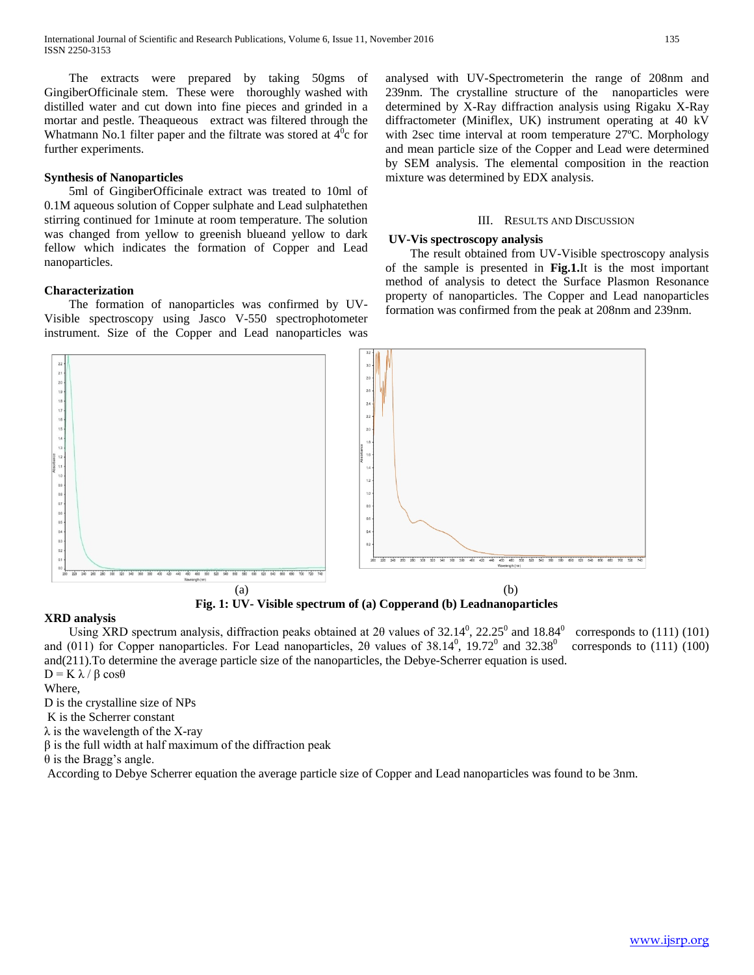The extracts were prepared by taking 50gms of GingiberOfficinale stem. These were thoroughly washed with distilled water and cut down into fine pieces and grinded in a mortar and pestle. Theaqueous extract was filtered through the Whatmann No.1 filter paper and the filtrate was stored at  $\overline{4}^0$ c for further experiments.

## **Synthesis of Nanoparticles**

 5ml of GingiberOfficinale extract was treated to 10ml of 0.1M aqueous solution of Copper sulphate and Lead sulphatethen stirring continued for 1minute at room temperature. The solution was changed from yellow to greenish blueand yellow to dark fellow which indicates the formation of Copper and Lead nanoparticles.

## **Characterization**

 The formation of nanoparticles was confirmed by UV-Visible spectroscopy using Jasco V-550 spectrophotometer instrument. Size of the Copper and Lead nanoparticles was

analysed with UV-Spectrometerin the range of 208nm and 239nm. The crystalline structure of the nanoparticles were determined by X-Ray diffraction analysis using Rigaku X-Ray diffractometer (Miniflex, UK) instrument operating at 40 kV with 2sec time interval at room temperature 27ºC. Morphology and mean particle size of the Copper and Lead were determined by SEM analysis. The elemental composition in the reaction mixture was determined by EDX analysis.

#### III. RESULTS AND DISCUSSION

#### **UV-Vis spectroscopy analysis**

 The result obtained from UV-Visible spectroscopy analysis of the sample is presented in **Fig.1.**It is the most important method of analysis to detect the Surface Plasmon Resonance property of nanoparticles. The Copper and Lead nanoparticles formation was confirmed from the peak at 208nm and 239nm.



**Fig. 1: UV- Visible spectrum of (a) Copperand (b) Leadnanoparticles**

# **XRD analysis**

Using XRD spectrum analysis, diffraction peaks obtained at 20 values of 32.14<sup>0</sup>, 22.25<sup>0</sup> and 18.84<sup>0</sup> corresponds to (111) (101) and (011) for Copper nanoparticles. For Lead nanoparticles, 20 values of  $38.14^{\circ}$ ,  $19.72^{\circ}$  and  $32.38^{\circ}$  corresponds to (111) (100) and(211).To determine the average particle size of the nanoparticles, the Debye-Scherrer equation is used.  $D = K \lambda / \beta \cos\theta$ 

Where,

D is the crystalline size of NPs

K is the Scherrer constant

 $\lambda$  is the wavelength of the X-ray

 $\beta$  is the full width at half maximum of the diffraction peak

θ is the Bragg's angle.

According to Debye Scherrer equation the average particle size of Copper and Lead nanoparticles was found to be 3nm.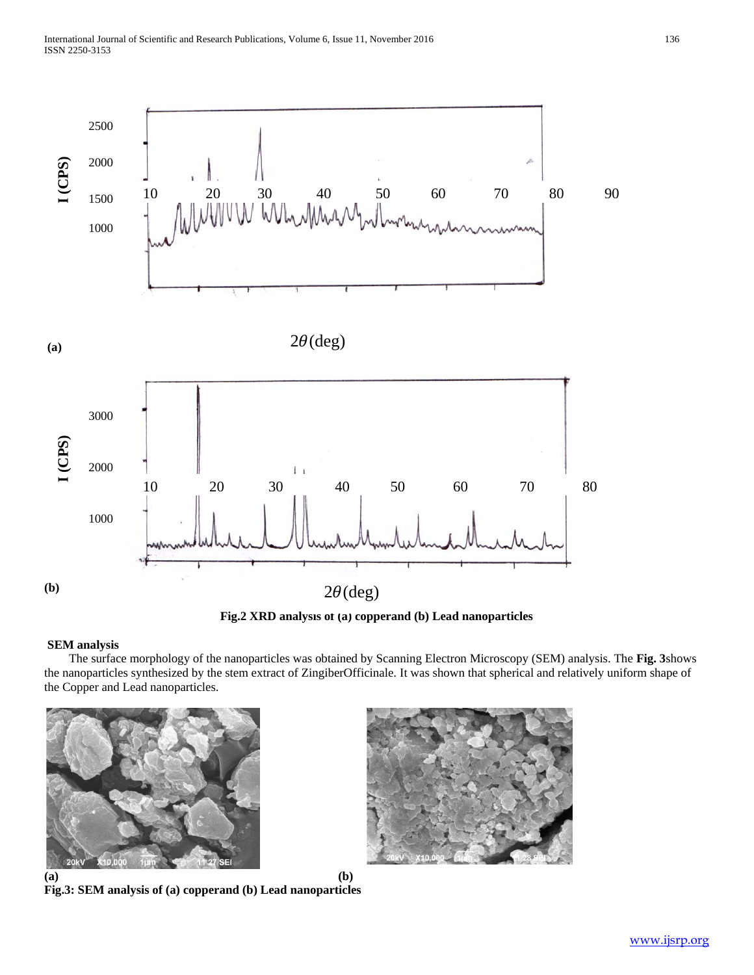

**Fig.2 XRD analysis of (a) copperand (b) Lead nanoparticles**

# **SEM analysis**

 The surface morphology of the nanoparticles was obtained by Scanning Electron Microscopy (SEM) analysis. The **Fig. 3**shows the nanoparticles synthesized by the stem extract of ZingiberOfficinale*.* It was shown that spherical and relatively uniform shape of the Copper and Lead nanoparticles.



**(a) (b) Fig.3: SEM analysis of (a) copperand (b) Lead nanoparticles**